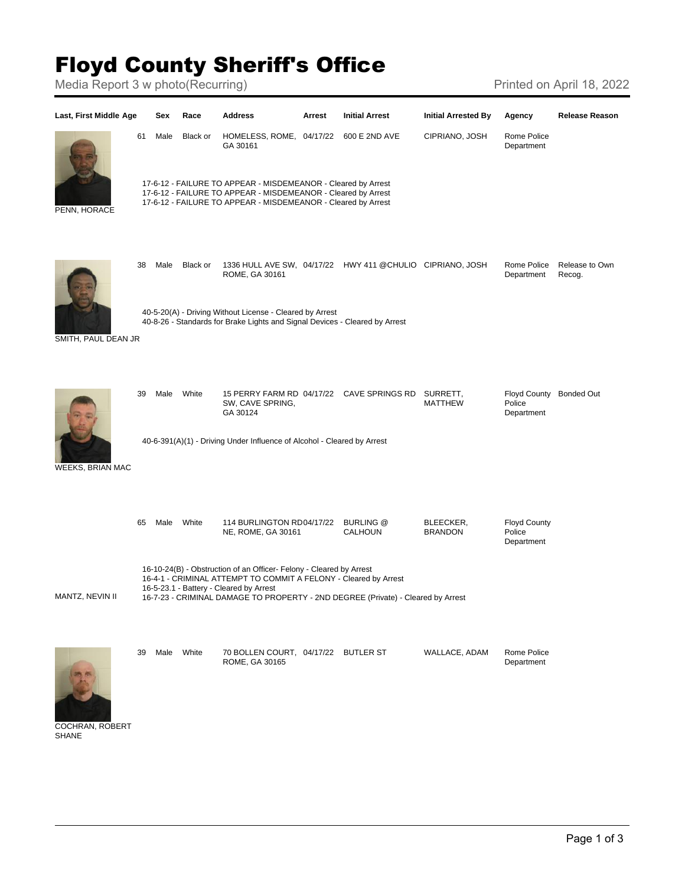## Floyd County Sheriff's Office

Media Report 3 w photo(Recurring) Media Report 3 w photo(Recurring)





| 39 | Male | White | 70 BOLLEN COURT, 04/17/22 BUTLER ST<br>ROME, GA 30165 |  | WALLACE, ADAM | Rome Police<br>Department |
|----|------|-------|-------------------------------------------------------|--|---------------|---------------------------|
|    |      |       |                                                       |  |               |                           |

COCHRAN, ROBERT SHANE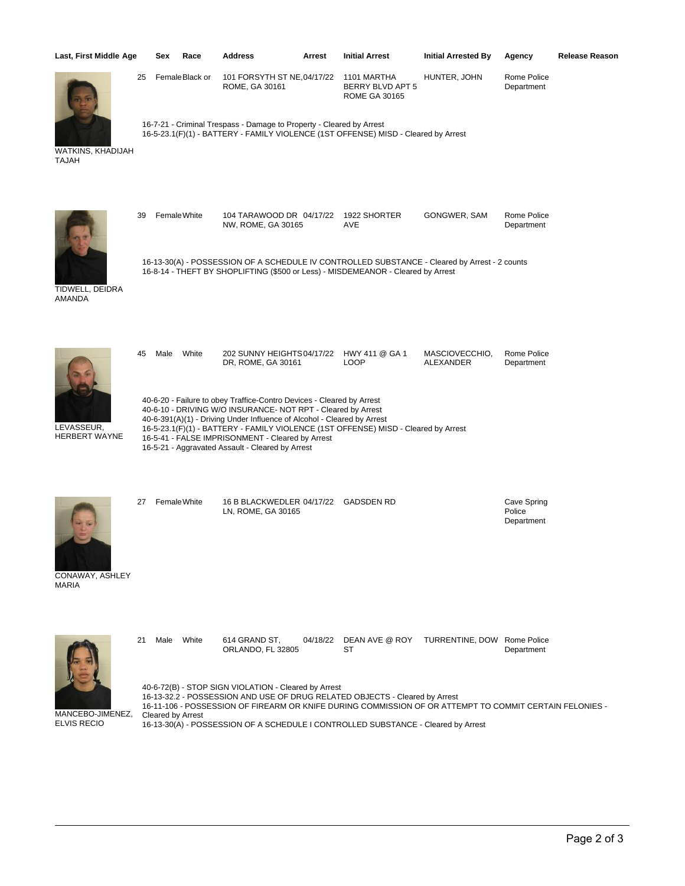| Last, First Middle Age             |    | Sex                                                                                                                                                                                                                                                                                                                                                                                                            | Race           | <b>Address</b>                                                       | Arrest   | <b>Initial Arrest</b>                                                                                                                                                                  | <b>Initial Arrested By</b>  | Agency                              | <b>Release Reason</b> |  |
|------------------------------------|----|----------------------------------------------------------------------------------------------------------------------------------------------------------------------------------------------------------------------------------------------------------------------------------------------------------------------------------------------------------------------------------------------------------------|----------------|----------------------------------------------------------------------|----------|----------------------------------------------------------------------------------------------------------------------------------------------------------------------------------------|-----------------------------|-------------------------------------|-----------------------|--|
|                                    | 25 |                                                                                                                                                                                                                                                                                                                                                                                                                | FemaleBlack or | 101 FORSYTH ST NE, 04/17/22<br>ROME, GA 30161                        |          | 1101 MARTHA<br>BERRY BLVD APT 5<br><b>ROME GA 30165</b>                                                                                                                                | HUNTER, JOHN                | Rome Police<br>Department           |                       |  |
| WATKINS, KHADIJAH<br><b>TAJAH</b>  |    |                                                                                                                                                                                                                                                                                                                                                                                                                |                | 16-7-21 - Criminal Trespass - Damage to Property - Cleared by Arrest |          | 16-5-23.1(F)(1) - BATTERY - FAMILY VIOLENCE (1ST OFFENSE) MISD - Cleared by Arrest                                                                                                     |                             |                                     |                       |  |
|                                    | 39 |                                                                                                                                                                                                                                                                                                                                                                                                                | Female White   | 104 TARAWOOD DR 04/17/22<br>NW, ROME, GA 30165                       |          | 1922 SHORTER<br>AVE                                                                                                                                                                    | GONGWER, SAM                | Rome Police<br>Department           |                       |  |
| TIDWELL, DEIDRA<br>AMANDA          |    |                                                                                                                                                                                                                                                                                                                                                                                                                |                |                                                                      |          | 16-13-30(A) - POSSESSION OF A SCHEDULE IV CONTROLLED SUBSTANCE - Cleared by Arrest - 2 counts<br>16-8-14 - THEFT BY SHOPLIFTING (\$500 or Less) - MISDEMEANOR - Cleared by Arrest      |                             |                                     |                       |  |
|                                    | 45 | Male                                                                                                                                                                                                                                                                                                                                                                                                           | White          | 202 SUNNY HEIGHTS 04/17/22 HWY 411 @ GA 1<br>DR, ROME, GA 30161      |          | <b>LOOP</b>                                                                                                                                                                            | MASCIOVECCHIO,<br>ALEXANDER | Rome Police<br>Department           |                       |  |
| LEVASSEUR,<br><b>HERBERT WAYNE</b> |    | 40-6-20 - Failure to obey Traffice-Contro Devices - Cleared by Arrest<br>40-6-10 - DRIVING W/O INSURANCE- NOT RPT - Cleared by Arrest<br>40-6-391(A)(1) - Driving Under Influence of Alcohol - Cleared by Arrest<br>16-5-23.1(F)(1) - BATTERY - FAMILY VIOLENCE (1ST OFFENSE) MISD - Cleared by Arrest<br>16-5-41 - FALSE IMPRISONMENT - Cleared by Arrest<br>16-5-21 - Aggravated Assault - Cleared by Arrest |                |                                                                      |          |                                                                                                                                                                                        |                             |                                     |                       |  |
| CONAWAY, ASHLEY<br><b>MARIA</b>    | 27 |                                                                                                                                                                                                                                                                                                                                                                                                                | Female White   | 16 B BLACKWEDLER 04/17/22 GADSDEN RD<br>LN, ROME, GA 30165           |          |                                                                                                                                                                                        |                             | Cave Spring<br>Police<br>Department |                       |  |
|                                    | 21 | Male                                                                                                                                                                                                                                                                                                                                                                                                           | White          | 614 GRAND ST,<br>ORLANDO, FL 32805                                   | 04/18/22 | DEAN AVE @ ROY<br>ST                                                                                                                                                                   | TURRENTINE, DOW             | Rome Police<br>Department           |                       |  |
| MANCERO IMENEZ                     |    |                                                                                                                                                                                                                                                                                                                                                                                                                |                | 40-6-72(B) - STOP SIGN VIOLATION - Cleared by Arrest                 |          | 16-13-32.2 - POSSESSION AND USE OF DRUG RELATED OBJECTS - Cleared by Arrest<br>16-11-106 - POSSESSION OF FIREARM OR KNIFE DURING COMMISSION OF OR ATTEMPT TO COMMIT CERTAIN FELONIES - |                             |                                     |                       |  |

MANCEBO-JIMENEZ, ELVIS RECIO

Cleared by Arrest 16-13-30(A) - POSSESSION OF A SCHEDULE I CONTROLLED SUBSTANCE - Cleared by Arrest